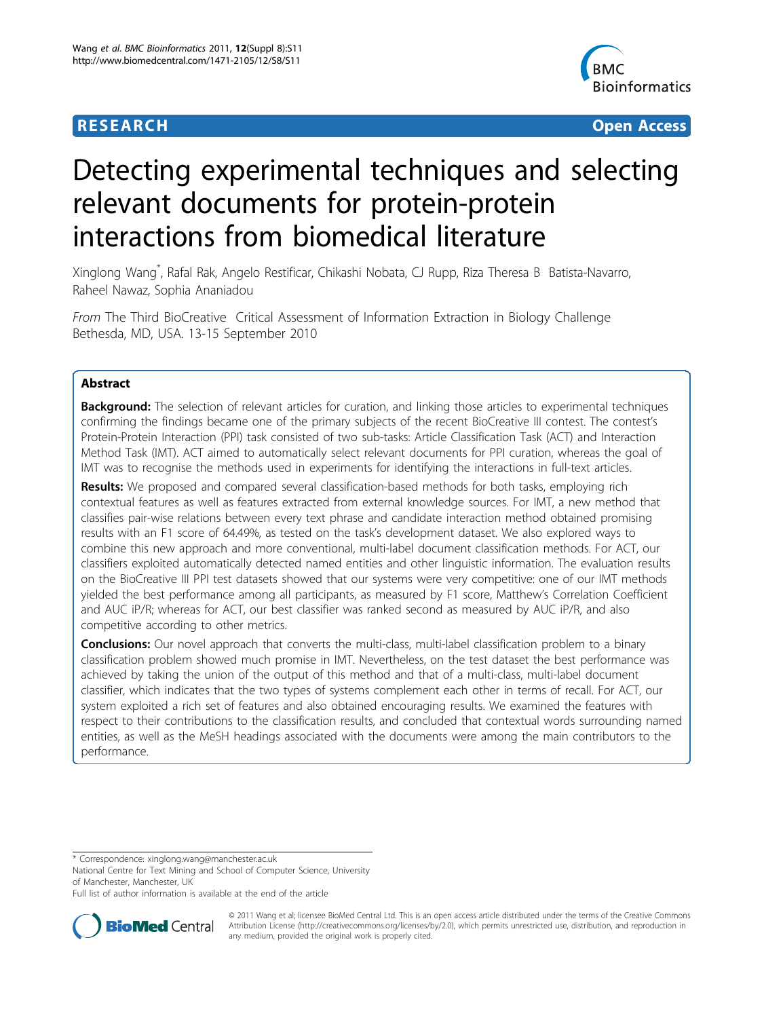## **RESEARCH CONSTRUCTION CONTROL**



# Detecting experimental techniques and selecting relevant documents for protein-protein interactions from biomedical literature

Xinglong Wang\* , Rafal Rak, Angelo Restificar, Chikashi Nobata, CJ Rupp, Riza Theresa B Batista-Navarro, Raheel Nawaz, Sophia Ananiadou

From The Third BioCreative Critical Assessment of Information Extraction in Biology Challenge Bethesda, MD, USA. 13-15 September 2010

## Abstract

**Background:** The selection of relevant articles for curation, and linking those articles to experimental techniques confirming the findings became one of the primary subjects of the recent BioCreative III contest. The contest's Protein-Protein Interaction (PPI) task consisted of two sub-tasks: Article Classification Task (ACT) and Interaction Method Task (IMT). ACT aimed to automatically select relevant documents for PPI curation, whereas the goal of IMT was to recognise the methods used in experiments for identifying the interactions in full-text articles.

Results: We proposed and compared several classification-based methods for both tasks, employing rich contextual features as well as features extracted from external knowledge sources. For IMT, a new method that classifies pair-wise relations between every text phrase and candidate interaction method obtained promising results with an F1 score of 64.49%, as tested on the task's development dataset. We also explored ways to combine this new approach and more conventional, multi-label document classification methods. For ACT, our classifiers exploited automatically detected named entities and other linguistic information. The evaluation results on the BioCreative III PPI test datasets showed that our systems were very competitive: one of our IMT methods yielded the best performance among all participants, as measured by F1 score, Matthew's Correlation Coefficient and AUC iP/R; whereas for ACT, our best classifier was ranked second as measured by AUC iP/R, and also competitive according to other metrics.

**Conclusions:** Our novel approach that converts the multi-class, multi-label classification problem to a binary classification problem showed much promise in IMT. Nevertheless, on the test dataset the best performance was achieved by taking the union of the output of this method and that of a multi-class, multi-label document classifier, which indicates that the two types of systems complement each other in terms of recall. For ACT, our system exploited a rich set of features and also obtained encouraging results. We examined the features with respect to their contributions to the classification results, and concluded that contextual words surrounding named entities, as well as the MeSH headings associated with the documents were among the main contributors to the performance.

\* Correspondence: [xinglong.wang@manchester.ac.uk](mailto:xinglong.wang@manchester.ac.uk)

National Centre for Text Mining and School of Computer Science, University of Manchester, Manchester, UK

Full list of author information is available at the end of the article



© 2011 Wang et al; licensee BioMed Central Ltd. This is an open access article distributed under the terms of the Creative Commons Attribution License [\(http://creativecommons.org/licenses/by/2.0](http://creativecommons.org/licenses/by/2.0)), which permits unrestricted use, distribution, and reproduction in any medium, provided the original work is properly cited.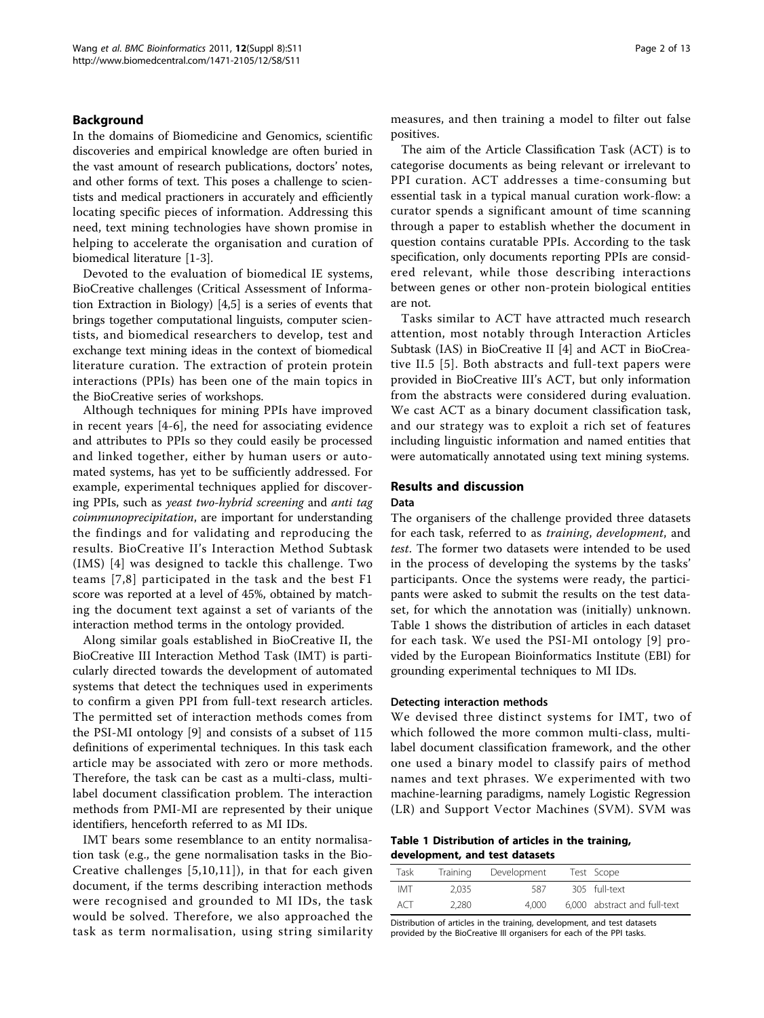## Background

In the domains of Biomedicine and Genomics, scientific discoveries and empirical knowledge are often buried in the vast amount of research publications, doctors' notes, and other forms of text. This poses a challenge to scientists and medical practioners in accurately and efficiently locating specific pieces of information. Addressing this need, text mining technologies have shown promise in helping to accelerate the organisation and curation of biomedical literature [[1-3](#page-11-0)].

Devoted to the evaluation of biomedical IE systems, BioCreative challenges (Critical Assessment of Information Extraction in Biology) [[4,5\]](#page-11-0) is a series of events that brings together computational linguists, computer scientists, and biomedical researchers to develop, test and exchange text mining ideas in the context of biomedical literature curation. The extraction of protein protein interactions (PPIs) has been one of the main topics in the BioCreative series of workshops.

Although techniques for mining PPIs have improved in recent years [\[4](#page-11-0)-[6](#page-11-0)], the need for associating evidence and attributes to PPIs so they could easily be processed and linked together, either by human users or automated systems, has yet to be sufficiently addressed. For example, experimental techniques applied for discovering PPIs, such as yeast two-hybrid screening and anti tag coimmunoprecipitation, are important for understanding the findings and for validating and reproducing the results. BioCreative II's Interaction Method Subtask (IMS) [[4](#page-11-0)] was designed to tackle this challenge. Two teams [[7](#page-11-0),[8](#page-11-0)] participated in the task and the best F1 score was reported at a level of 45%, obtained by matching the document text against a set of variants of the interaction method terms in the ontology provided.

Along similar goals established in BioCreative II, the BioCreative III Interaction Method Task (IMT) is particularly directed towards the development of automated systems that detect the techniques used in experiments to confirm a given PPI from full-text research articles. The permitted set of interaction methods comes from the PSI-MI ontology [\[9](#page-11-0)] and consists of a subset of 115 definitions of experimental techniques. In this task each article may be associated with zero or more methods. Therefore, the task can be cast as a multi-class, multilabel document classification problem. The interaction methods from PMI-MI are represented by their unique identifiers, henceforth referred to as MI IDs.

IMT bears some resemblance to an entity normalisation task (e.g., the gene normalisation tasks in the Bio-Creative challenges [[5,10,](#page-11-0)[11\]](#page-12-0)), in that for each given document, if the terms describing interaction methods were recognised and grounded to MI IDs, the task would be solved. Therefore, we also approached the task as term normalisation, using string similarity measures, and then training a model to filter out false positives.

The aim of the Article Classification Task (ACT) is to categorise documents as being relevant or irrelevant to PPI curation. ACT addresses a time-consuming but essential task in a typical manual curation work-flow: a curator spends a significant amount of time scanning through a paper to establish whether the document in question contains curatable PPIs. According to the task specification, only documents reporting PPIs are considered relevant, while those describing interactions between genes or other non-protein biological entities are not.

Tasks similar to ACT have attracted much research attention, most notably through Interaction Articles Subtask (IAS) in BioCreative II [[4](#page-11-0)] and ACT in BioCreative II.5 [[5](#page-11-0)]. Both abstracts and full-text papers were provided in BioCreative III's ACT, but only information from the abstracts were considered during evaluation. We cast ACT as a binary document classification task, and our strategy was to exploit a rich set of features including linguistic information and named entities that were automatically annotated using text mining systems.

## Results and discussion

## Data

The organisers of the challenge provided three datasets for each task, referred to as training, development, and test. The former two datasets were intended to be used in the process of developing the systems by the tasks' participants. Once the systems were ready, the participants were asked to submit the results on the test dataset, for which the annotation was (initially) unknown. Table 1 shows the distribution of articles in each dataset for each task. We used the PSI-MI ontology [[9\]](#page-11-0) provided by the European Bioinformatics Institute (EBI) for grounding experimental techniques to MI IDs.

#### Detecting interaction methods

We devised three distinct systems for IMT, two of which followed the more common multi-class, multilabel document classification framework, and the other one used a binary model to classify pairs of method names and text phrases. We experimented with two machine-learning paradigms, namely Logistic Regression (LR) and Support Vector Machines (SVM). SVM was

Table 1 Distribution of articles in the training, development, and test datasets

| Task | Training | Development | Test Scope                   |
|------|----------|-------------|------------------------------|
| IMT  | 2.035    | 587         | 305 full-text                |
| ACT  | 2.280    | 4.000       | 6.000 abstract and full-text |

Distribution of articles in the training, development, and test datasets provided by the BioCreative III organisers for each of the PPI tasks.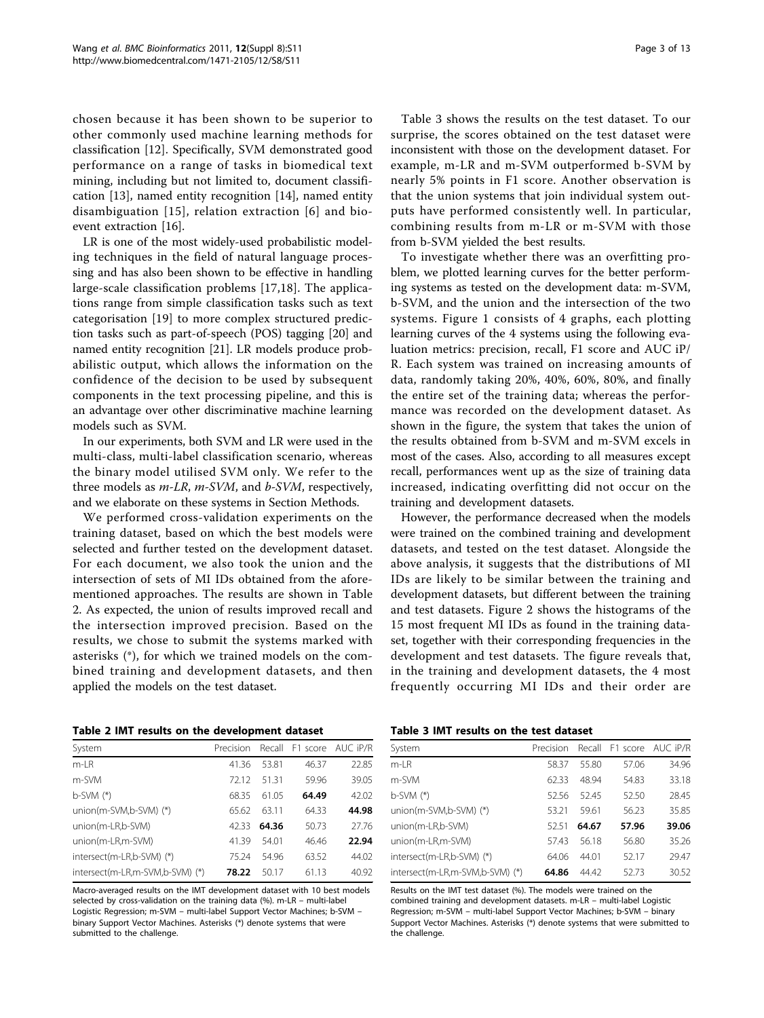<span id="page-2-0"></span>chosen because it has been shown to be superior to other commonly used machine learning methods for classification [[12\]](#page-12-0). Specifically, SVM demonstrated good performance on a range of tasks in biomedical text mining, including but not limited to, document classification [\[13](#page-12-0)], named entity recognition [[14\]](#page-12-0), named entity disambiguation [[15\]](#page-12-0), relation extraction [[6](#page-11-0)] and bioevent extraction [[16\]](#page-12-0).

LR is one of the most widely-used probabilistic modeling techniques in the field of natural language processing and has also been shown to be effective in handling large-scale classification problems [\[17](#page-12-0),[18\]](#page-12-0). The applications range from simple classification tasks such as text categorisation [[19\]](#page-12-0) to more complex structured prediction tasks such as part-of-speech (POS) tagging [\[20](#page-12-0)] and named entity recognition [\[21](#page-12-0)]. LR models produce probabilistic output, which allows the information on the confidence of the decision to be used by subsequent components in the text processing pipeline, and this is an advantage over other discriminative machine learning models such as SVM.

In our experiments, both SVM and LR were used in the multi-class, multi-label classification scenario, whereas the binary model utilised SVM only. We refer to the three models as  $m$ -LR,  $m$ -SVM, and  $b$ -SVM, respectively, and we elaborate on these systems in Section Methods.

We performed cross-validation experiments on the training dataset, based on which the best models were selected and further tested on the development dataset. For each document, we also took the union and the intersection of sets of MI IDs obtained from the aforementioned approaches. The results are shown in Table 2. As expected, the union of results improved recall and the intersection improved precision. Based on the results, we chose to submit the systems marked with asterisks (\*), for which we trained models on the combined training and development datasets, and then applied the models on the test dataset.

|  |  |  |  |  |  |  | Table 2 IMT results on the development dataset |  |
|--|--|--|--|--|--|--|------------------------------------------------|--|
|--|--|--|--|--|--|--|------------------------------------------------|--|

| System                          | Precision |       | Recall F1 score AUC iP/R |       |
|---------------------------------|-----------|-------|--------------------------|-------|
| $m-1 R$                         | 41.36     | 53.81 | 46.37                    | 22.85 |
| m-SVM                           | 72.12     | 51.31 | 59.96                    | 39.05 |
| $b-SVM$ (*)                     | 68.35     | 61.05 | 64.49                    | 42.02 |
| union(m-SVM,b-SVM) (*)          | 65.62     | 63.11 | 64.33                    | 44.98 |
| union(m-LR,b-SVM)               | 42.33     | 64.36 | 50.73                    | 27.76 |
| union(m-LR,m-SVM)               | 41.39     | 54.01 | 46.46                    | 22.94 |
| intersect(m-LR,b-SVM) (*)       | 75.24     | 54.96 | 63.52                    | 44.02 |
| intersect(m-LR,m-SVM,b-SVM) (*) | 78.22     | 50.17 | 61.13                    | 40.92 |
|                                 |           |       |                          |       |

Macro-averaged results on the IMT development dataset with 10 best models selected by cross-validation on the training data (%). m-LR – multi-label Logistic Regression; m-SVM – multi-label Support Vector Machines; b-SVM – binary Support Vector Machines. Asterisks (\*) denote systems that were submitted to the challenge.

Table 3 shows the results on the test dataset. To our surprise, the scores obtained on the test dataset were inconsistent with those on the development dataset. For example, m-LR and m-SVM outperformed b-SVM by nearly 5% points in F1 score. Another observation is that the union systems that join individual system outputs have performed consistently well. In particular, combining results from m-LR or m-SVM with those from b-SVM yielded the best results.

To investigate whether there was an overfitting problem, we plotted learning curves for the better performing systems as tested on the development data: m-SVM, b-SVM, and the union and the intersection of the two systems. Figure [1](#page-3-0) consists of 4 graphs, each plotting learning curves of the 4 systems using the following evaluation metrics: precision, recall, F1 score and AUC iP/ R. Each system was trained on increasing amounts of data, randomly taking 20%, 40%, 60%, 80%, and finally the entire set of the training data; whereas the performance was recorded on the development dataset. As shown in the figure, the system that takes the union of the results obtained from b-SVM and m-SVM excels in most of the cases. Also, according to all measures except recall, performances went up as the size of training data increased, indicating overfitting did not occur on the training and development datasets.

However, the performance decreased when the models were trained on the combined training and development datasets, and tested on the test dataset. Alongside the above analysis, it suggests that the distributions of MI IDs are likely to be similar between the training and development datasets, but different between the training and test datasets. Figure [2](#page-3-0) shows the histograms of the 15 most frequent MI IDs as found in the training dataset, together with their corresponding frequencies in the development and test datasets. The figure reveals that, in the training and development datasets, the 4 most frequently occurring MI IDs and their order are

| Table 3 IMT results on the test dataset |  |  |  |  |  |  |
|-----------------------------------------|--|--|--|--|--|--|
|-----------------------------------------|--|--|--|--|--|--|

| System                          | Precision |       |       | Recall F1 score AUC iP/R |
|---------------------------------|-----------|-------|-------|--------------------------|
| $m-1 R$                         | 58.37     | 55.80 | 57.06 | 34.96                    |
| m-SVM                           | 62.33     | 48.94 | 54.83 | 33.18                    |
| $b-SVM$ $(*)$                   | 52.56     | 52.45 | 52.50 | 28.45                    |
| union(m-SVM,b-SVM) (*)          | 53.21     | 59.61 | 56.23 | 35.85                    |
| union(m-LR,b-SVM)               | 52.51     | 64.67 | 57.96 | 39.06                    |
| union(m-LR,m-SVM)               | 57.43     | 56.18 | 56.80 | 35.26                    |
| intersect(m-LR,b-SVM) (*)       | 64.06     | 44.01 | 52.17 | 29.47                    |
| intersect(m-LR,m-SVM,b-SVM) (*) | 64.86     | 4442  | 52.73 | 30.52                    |
|                                 |           |       |       |                          |

Results on the IMT test dataset (%). The models were trained on the combined training and development datasets. m-LR – multi-label Logistic Regression; m-SVM – multi-label Support Vector Machines; b-SVM – binary Support Vector Machines. Asterisks (\*) denote systems that were submitted to the challenge.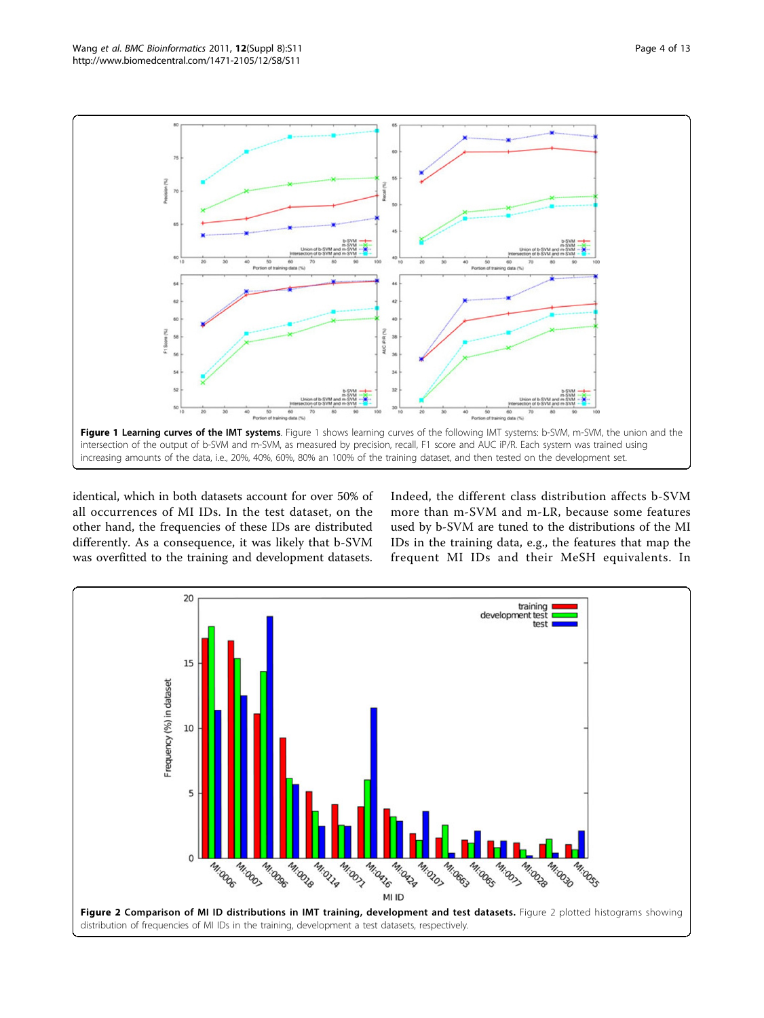<span id="page-3-0"></span>

identical, which in both datasets account for over 50% of all occurrences of MI IDs. In the test dataset, on the other hand, the frequencies of these IDs are distributed differently. As a consequence, it was likely that b-SVM was overfitted to the training and development datasets.

Indeed, the different class distribution affects b-SVM more than m-SVM and m-LR, because some features used by b-SVM are tuned to the distributions of the MI IDs in the training data, e.g., the features that map the frequent MI IDs and their MeSH equivalents. In

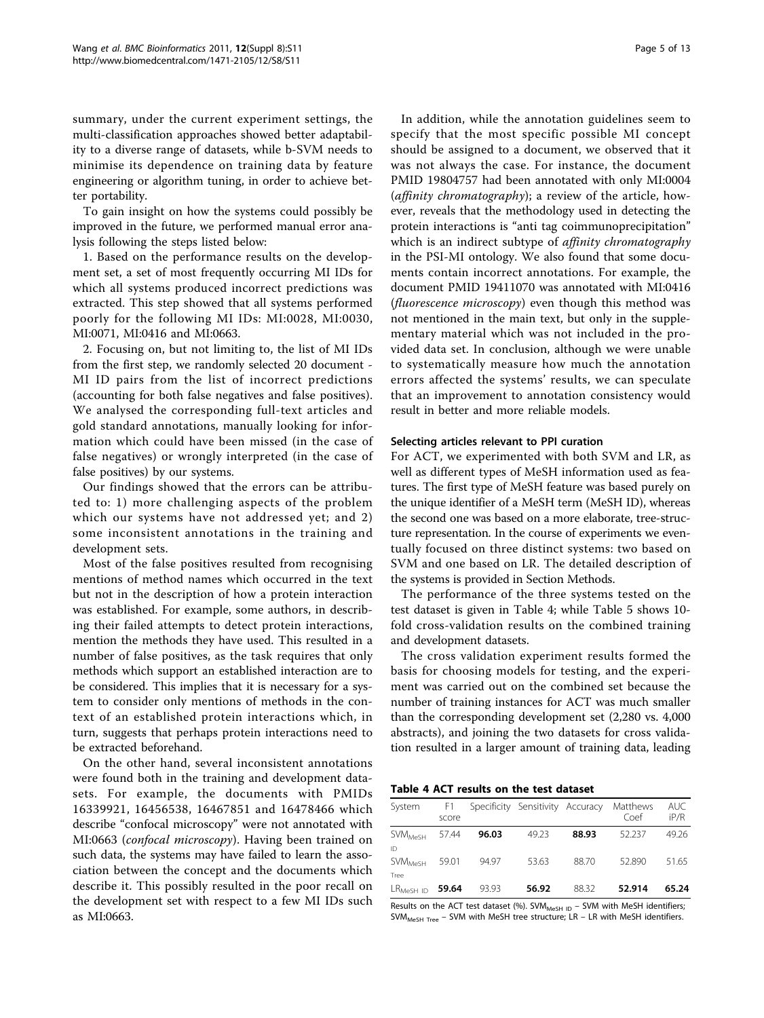<span id="page-4-0"></span>summary, under the current experiment settings, the multi-classification approaches showed better adaptability to a diverse range of datasets, while b-SVM needs to minimise its dependence on training data by feature engineering or algorithm tuning, in order to achieve better portability.

To gain insight on how the systems could possibly be improved in the future, we performed manual error analysis following the steps listed below:

1. Based on the performance results on the development set, a set of most frequently occurring MI IDs for which all systems produced incorrect predictions was extracted. This step showed that all systems performed poorly for the following MI IDs: MI:0028, MI:0030, MI:0071, MI:0416 and MI:0663.

2. Focusing on, but not limiting to, the list of MI IDs from the first step, we randomly selected 20 document - MI ID pairs from the list of incorrect predictions (accounting for both false negatives and false positives). We analysed the corresponding full-text articles and gold standard annotations, manually looking for information which could have been missed (in the case of false negatives) or wrongly interpreted (in the case of false positives) by our systems.

Our findings showed that the errors can be attributed to: 1) more challenging aspects of the problem which our systems have not addressed yet; and 2) some inconsistent annotations in the training and development sets.

Most of the false positives resulted from recognising mentions of method names which occurred in the text but not in the description of how a protein interaction was established. For example, some authors, in describing their failed attempts to detect protein interactions, mention the methods they have used. This resulted in a number of false positives, as the task requires that only methods which support an established interaction are to be considered. This implies that it is necessary for a system to consider only mentions of methods in the context of an established protein interactions which, in turn, suggests that perhaps protein interactions need to be extracted beforehand.

On the other hand, several inconsistent annotations were found both in the training and development datasets. For example, the documents with PMIDs 16339921, 16456538, 16467851 and 16478466 which describe "confocal microscopy" were not annotated with MI:0663 (confocal microscopy). Having been trained on such data, the systems may have failed to learn the association between the concept and the documents which describe it. This possibly resulted in the poor recall on the development set with respect to a few MI IDs such as MI:0663.

In addition, while the annotation guidelines seem to specify that the most specific possible MI concept should be assigned to a document, we observed that it was not always the case. For instance, the document PMID 19804757 had been annotated with only MI:0004 (affinity chromatography); a review of the article, however, reveals that the methodology used in detecting the protein interactions is "anti tag coimmunoprecipitation" which is an indirect subtype of *affinity chromatography* in the PSI-MI ontology. We also found that some documents contain incorrect annotations. For example, the document PMID 19411070 was annotated with MI:0416 (fluorescence microscopy) even though this method was not mentioned in the main text, but only in the supplementary material which was not included in the provided data set. In conclusion, although we were unable to systematically measure how much the annotation errors affected the systems' results, we can speculate that an improvement to annotation consistency would result in better and more reliable models.

#### Selecting articles relevant to PPI curation

For ACT, we experimented with both SVM and LR, as well as different types of MeSH information used as features. The first type of MeSH feature was based purely on the unique identifier of a MeSH term (MeSH ID), whereas the second one was based on a more elaborate, tree-structure representation. In the course of experiments we eventually focused on three distinct systems: two based on SVM and one based on LR. The detailed description of the systems is provided in Section Methods.

The performance of the three systems tested on the test dataset is given in Table 4; while Table [5](#page-5-0) shows 10 fold cross-validation results on the combined training and development datasets.

The cross validation experiment results formed the basis for choosing models for testing, and the experiment was carried out on the combined set because the number of training instances for ACT was much smaller than the corresponding development set (2,280 vs. 4,000 abstracts), and joining the two datasets for cross validation resulted in a larger amount of training data, leading

Table 4 ACT results on the test dataset

| System                      | - F1<br>score |       | Specificity Sensitivity Accuracy Matthews |       | Coef   | <b>AUC</b><br>iP/R |
|-----------------------------|---------------|-------|-------------------------------------------|-------|--------|--------------------|
| SVM <sub>MeSH</sub><br>ID   | 57.44         | 96.03 | 49.23                                     | 88.93 | 52.237 | 49.26              |
| SVM <sub>MeSH</sub><br>Tree | 59.01         | 94.97 | 53.63                                     | 88.70 | 52.890 | 51.65              |
| $LR_{MeSH}$ id 59.64        |               | 93.93 | 56.92                                     | 88.32 | 52.914 | 65.24              |

Results on the ACT test dataset (%). SVM<sub>MeSH ID</sub> – SVM with MeSH identifiers; SVM<sub>MeSH Tree</sub> - SVM with MeSH tree structure; LR - LR with MeSH identifiers.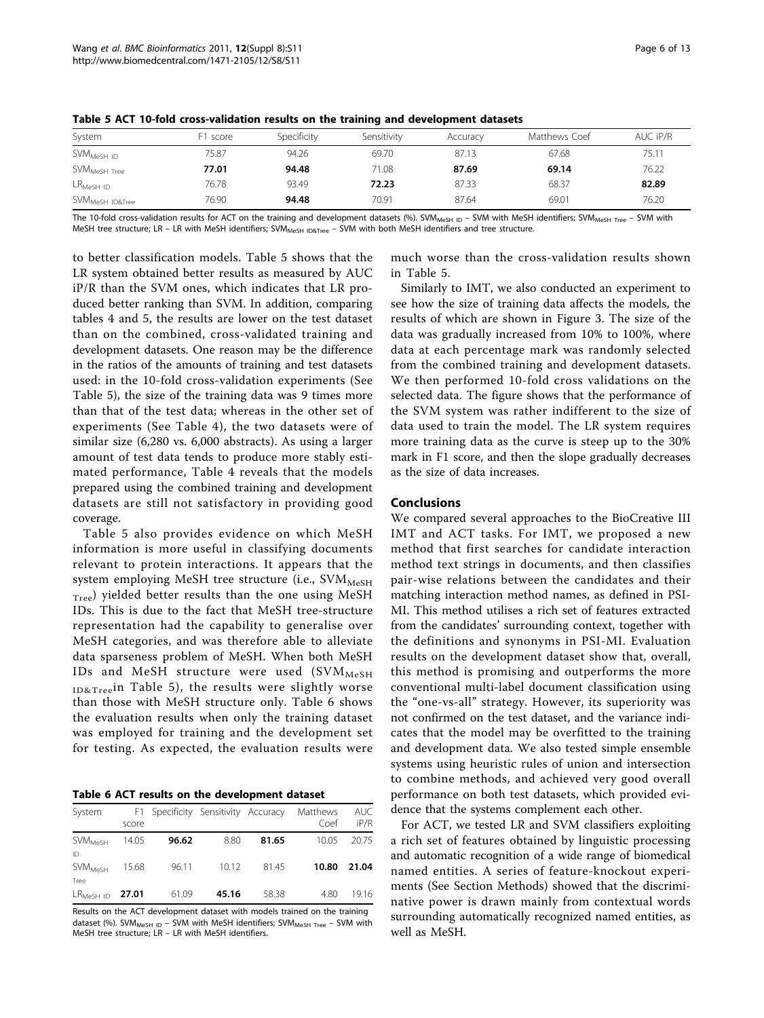| System                            | score | Specificity | Sensitivity | Accuracy | Matthews Coef | AUC iP/R |
|-----------------------------------|-------|-------------|-------------|----------|---------------|----------|
| SVM <sub>MeSH</sub> <sub>ID</sub> | 75.87 | 94.26       | 69.70       | 87.13    | 67.68         | 75.11    |
| SVM <sub>MeSH</sub> Tree          | 77.01 | 94.48       | 71.08       | 87.69    | 69.14         | 76.22    |
| LR <sub>MeSH ID</sub>             | 76.78 | 93.49       | 72.23       | 87.33    | 68.37         | 82.89    |
| SVM <sub>MeSH ID&amp;Tree</sub>   | 76.90 | 94.48       | 70.91       | 87.64    | 69.01         | 76.20    |

<span id="page-5-0"></span>Table 5 ACT 10-fold cross-validation results on the training and development datasets

The 10-fold cross-validation results for ACT on the training and development datasets (%). SVM<sub>MeSH ID</sub> – SVM with MeSH identifiers; SVM<sub>MeSH Tree</sub> – SVM with MeSH tree structure; LR - LR with MeSH identifiers; SVM<sub>MeSH ID&Tree</sub> - SVM with both MeSH identifiers and tree structure.

to better classification models. Table 5 shows that the LR system obtained better results as measured by AUC iP/R than the SVM ones, which indicates that LR produced better ranking than SVM. In addition, comparing tables [4](#page-4-0) and 5, the results are lower on the test dataset than on the combined, cross-validated training and development datasets. One reason may be the difference in the ratios of the amounts of training and test datasets used: in the 10-fold cross-validation experiments (See Table 5), the size of the training data was 9 times more than that of the test data; whereas in the other set of experiments (See Table [4\)](#page-4-0), the two datasets were of similar size (6,280 vs. 6,000 abstracts). As using a larger amount of test data tends to produce more stably estimated performance, Table [4](#page-4-0) reveals that the models prepared using the combined training and development datasets are still not satisfactory in providing good coverage.

Table 5 also provides evidence on which MeSH information is more useful in classifying documents relevant to protein interactions. It appears that the system employing MeSH tree structure (i.e.,  $\text{SVM}_{\text{MeSH}}$  $T_{\text{tree}}$ ) yielded better results than the one using MeSH IDs. This is due to the fact that MeSH tree-structure representation had the capability to generalise over MeSH categories, and was therefore able to alleviate data sparseness problem of MeSH. When both MeSH IDs and MeSH structure were used  $(SVM_{MeSH})$  $ID&Tree$ in Table 5), the results were slightly worse than those with MeSH structure only. Table 6 shows the evaluation results when only the training dataset was employed for training and the development set for testing. As expected, the evaluation results were

Table 6 ACT results on the development dataset

| System                      | score | F1 Specificity Sensitivity Accuracy |       |       | Matthews<br>Coef | <b>AUC</b><br>iP/R |
|-----------------------------|-------|-------------------------------------|-------|-------|------------------|--------------------|
| SVM <sub>MeSH</sub><br>ID   | 14.05 | 96.62                               | 8.80  | 81.65 | 10.05            | 20.75              |
| SVM <sub>MeSH</sub><br>Tree | 15.68 | 96.11                               | 10.12 | 81.45 | 10.80            | 21.04              |
| $LR_{MeSH}$ id              | 27.01 | 61.09                               | 45.16 | 58.38 | 4.80             | 19.16              |

Results on the ACT development dataset with models trained on the training dataset (%). SVM<sub>MeSH ID</sub> – SVM with MeSH identifiers; SVM<sub>MeSH Tree</sub> – SVM with MeSH tree structure; LR – LR with MeSH identifiers.

much worse than the cross-validation results shown in Table 5.

Similarly to IMT, we also conducted an experiment to see how the size of training data affects the models, the results of which are shown in Figure [3](#page-6-0). The size of the data was gradually increased from 10% to 100%, where data at each percentage mark was randomly selected from the combined training and development datasets. We then performed 10-fold cross validations on the selected data. The figure shows that the performance of the SVM system was rather indifferent to the size of data used to train the model. The LR system requires more training data as the curve is steep up to the 30% mark in F1 score, and then the slope gradually decreases as the size of data increases.

#### Conclusions

We compared several approaches to the BioCreative III IMT and ACT tasks. For IMT, we proposed a new method that first searches for candidate interaction method text strings in documents, and then classifies pair-wise relations between the candidates and their matching interaction method names, as defined in PSI-MI. This method utilises a rich set of features extracted from the candidates' surrounding context, together with the definitions and synonyms in PSI-MI. Evaluation results on the development dataset show that, overall, this method is promising and outperforms the more conventional multi-label document classification using the "one-vs-all" strategy. However, its superiority was not confirmed on the test dataset, and the variance indicates that the model may be overfitted to the training and development data. We also tested simple ensemble systems using heuristic rules of union and intersection to combine methods, and achieved very good overall performance on both test datasets, which provided evidence that the systems complement each other.

For ACT, we tested LR and SVM classifiers exploiting a rich set of features obtained by linguistic processing and automatic recognition of a wide range of biomedical named entities. A series of feature-knockout experiments (See Section Methods) showed that the discriminative power is drawn mainly from contextual words surrounding automatically recognized named entities, as well as MeSH.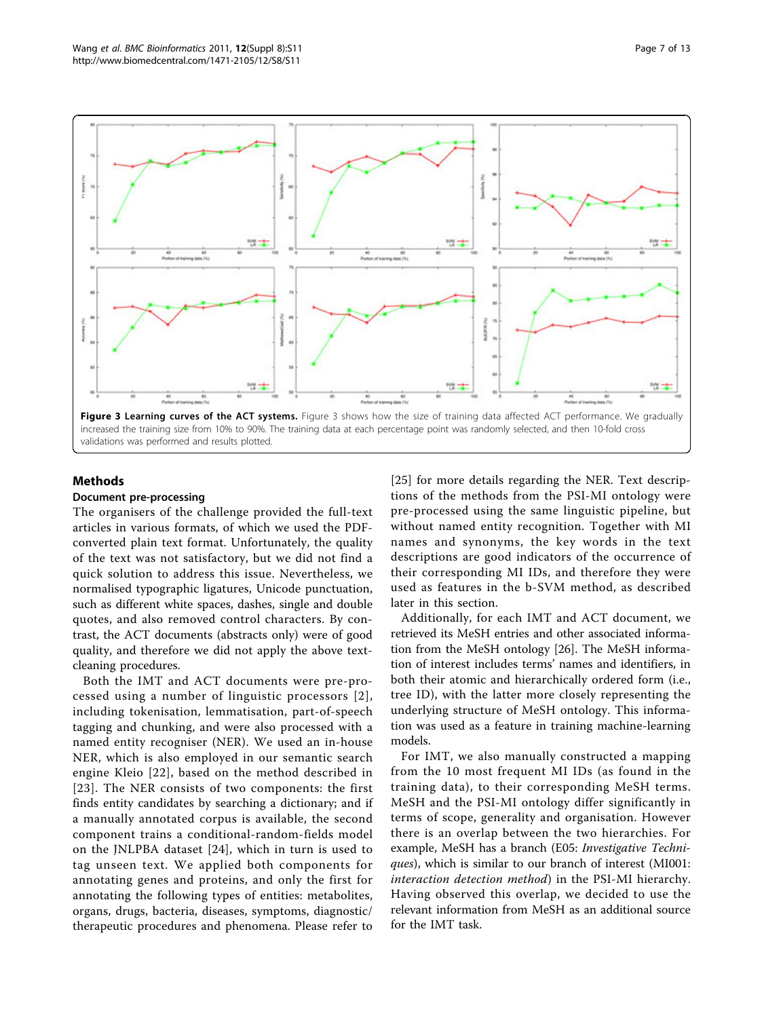<span id="page-6-0"></span>

#### Methods

#### Document pre-processing

The organisers of the challenge provided the full-text articles in various formats, of which we used the PDFconverted plain text format. Unfortunately, the quality of the text was not satisfactory, but we did not find a quick solution to address this issue. Nevertheless, we normalised typographic ligatures, Unicode punctuation, such as different white spaces, dashes, single and double quotes, and also removed control characters. By contrast, the ACT documents (abstracts only) were of good quality, and therefore we did not apply the above textcleaning procedures.

Both the IMT and ACT documents were pre-processed using a number of linguistic processors [[2\]](#page-11-0), including tokenisation, lemmatisation, part-of-speech tagging and chunking, and were also processed with a named entity recogniser (NER). We used an in-house NER, which is also employed in our semantic search engine Kleio [[22\]](#page-12-0), based on the method described in [[23\]](#page-12-0). The NER consists of two components: the first finds entity candidates by searching a dictionary; and if a manually annotated corpus is available, the second component trains a conditional-random-fields model on the JNLPBA dataset [[24](#page-12-0)], which in turn is used to tag unseen text. We applied both components for annotating genes and proteins, and only the first for annotating the following types of entities: metabolites, organs, drugs, bacteria, diseases, symptoms, diagnostic/ therapeutic procedures and phenomena. Please refer to [[25](#page-12-0)] for more details regarding the NER. Text descriptions of the methods from the PSI-MI ontology were pre-processed using the same linguistic pipeline, but without named entity recognition. Together with MI names and synonyms, the key words in the text descriptions are good indicators of the occurrence of their corresponding MI IDs, and therefore they were used as features in the b-SVM method, as described later in this section.

Additionally, for each IMT and ACT document, we retrieved its MeSH entries and other associated information from the MeSH ontology [\[26](#page-12-0)]. The MeSH information of interest includes terms' names and identifiers, in both their atomic and hierarchically ordered form (i.e., tree ID), with the latter more closely representing the underlying structure of MeSH ontology. This information was used as a feature in training machine-learning models.

For IMT, we also manually constructed a mapping from the 10 most frequent MI IDs (as found in the training data), to their corresponding MeSH terms. MeSH and the PSI-MI ontology differ significantly in terms of scope, generality and organisation. However there is an overlap between the two hierarchies. For example, MeSH has a branch (E05: Investigative Techniques), which is similar to our branch of interest (MI001: interaction detection method) in the PSI-MI hierarchy. Having observed this overlap, we decided to use the relevant information from MeSH as an additional source for the IMT task.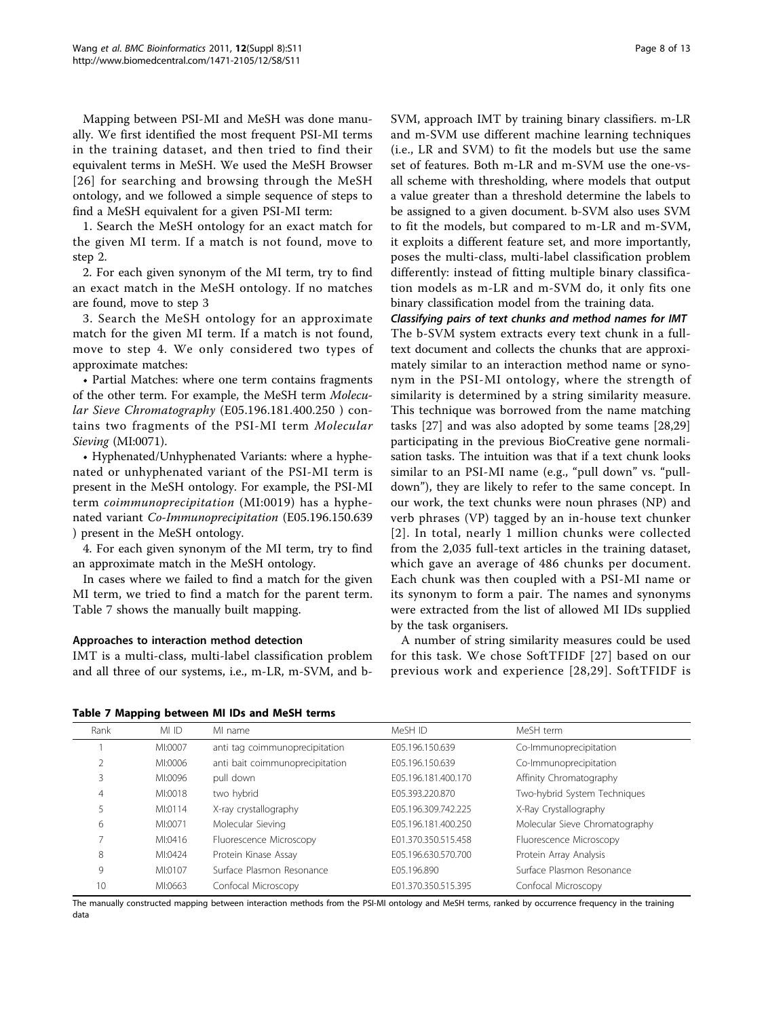Mapping between PSI-MI and MeSH was done manually. We first identified the most frequent PSI-MI terms in the training dataset, and then tried to find their equivalent terms in MeSH. We used the MeSH Browser [[26\]](#page-12-0) for searching and browsing through the MeSH ontology, and we followed a simple sequence of steps to find a MeSH equivalent for a given PSI-MI term:

1. Search the MeSH ontology for an exact match for the given MI term. If a match is not found, move to step 2.

2. For each given synonym of the MI term, try to find an exact match in the MeSH ontology. If no matches are found, move to step 3

3. Search the MeSH ontology for an approximate match for the given MI term. If a match is not found, move to step 4. We only considered two types of approximate matches:

• Partial Matches: where one term contains fragments of the other term. For example, the MeSH term Molecular Sieve Chromatography (E05.196.181.400.250 ) contains two fragments of the PSI-MI term Molecular Sieving (MI:0071).

• Hyphenated/Unhyphenated Variants: where a hyphenated or unhyphenated variant of the PSI-MI term is present in the MeSH ontology. For example, the PSI-MI term coimmunoprecipitation (MI:0019) has a hyphenated variant Co-Immunoprecipitation (E05.196.150.639 ) present in the MeSH ontology.

4. For each given synonym of the MI term, try to find an approximate match in the MeSH ontology.

In cases where we failed to find a match for the given MI term, we tried to find a match for the parent term. Table 7 shows the manually built mapping.

## Approaches to interaction method detection

IMT is a multi-class, multi-label classification problem and all three of our systems, i.e., m-LR, m-SVM, and bSVM, approach IMT by training binary classifiers. m-LR and m-SVM use different machine learning techniques (i.e., LR and SVM) to fit the models but use the same set of features. Both m-LR and m-SVM use the one-vsall scheme with thresholding, where models that output a value greater than a threshold determine the labels to be assigned to a given document. b-SVM also uses SVM to fit the models, but compared to m-LR and m-SVM, it exploits a different feature set, and more importantly, poses the multi-class, multi-label classification problem differently: instead of fitting multiple binary classification models as m-LR and m-SVM do, it only fits one binary classification model from the training data.

Classifying pairs of text chunks and method names for IMT The b-SVM system extracts every text chunk in a fulltext document and collects the chunks that are approximately similar to an interaction method name or synonym in the PSI-MI ontology, where the strength of similarity is determined by a string similarity measure. This technique was borrowed from the name matching tasks [[27](#page-12-0)] and was also adopted by some teams [[28,29](#page-12-0)] participating in the previous BioCreative gene normalisation tasks. The intuition was that if a text chunk looks similar to an PSI-MI name (e.g., "pull down" vs. "pulldown"), they are likely to refer to the same concept. In our work, the text chunks were noun phrases (NP) and verb phrases (VP) tagged by an in-house text chunker [[2\]](#page-11-0). In total, nearly 1 million chunks were collected from the 2,035 full-text articles in the training dataset, which gave an average of 486 chunks per document. Each chunk was then coupled with a PSI-MI name or its synonym to form a pair. The names and synonyms were extracted from the list of allowed MI IDs supplied by the task organisers.

A number of string similarity measures could be used for this task. We chose SoftTFIDF [[27](#page-12-0)] based on our previous work and experience [[28,29](#page-12-0)]. SoftTFIDF is

Table 7 Mapping between MI IDs and MeSH terms

| Rank           | MI ID   | MI name                         | MeSH ID             | MeSH term                      |
|----------------|---------|---------------------------------|---------------------|--------------------------------|
|                | MI:0007 | anti tag coimmunoprecipitation  | E05.196.150.639     | Co-Immunoprecipitation         |
| $\mathcal{D}$  | MI:0006 | anti bait coimmunoprecipitation | E05.196.150.639     | Co-Immunoprecipitation         |
| 3              | MI:0096 | pull down                       | E05.196.181.400.170 | Affinity Chromatography        |
| $\overline{4}$ | MI:0018 | two hybrid                      | E05.393.220.870     | Two-hybrid System Techniques   |
|                | M:0114  | X-ray crystallography           | E05.196.309.742.225 | X-Ray Crystallography          |
| 6              | MI:0071 | Molecular Sieving               | E05.196.181.400.250 | Molecular Sieve Chromatography |
|                | MI:0416 | Fluorescence Microscopy         | E01.370.350.515.458 | Fluorescence Microscopy        |
| 8              | MI:0424 | Protein Kinase Assay            | E05.196.630.570.700 | Protein Array Analysis         |
| 9              | MI:0107 | Surface Plasmon Resonance       | E05.196.890         | Surface Plasmon Resonance      |
| 10             | MI:0663 | Confocal Microscopy             | E01.370.350.515.395 | Confocal Microscopy            |

The manually constructed mapping between interaction methods from the PSI-MI ontology and MeSH terms, ranked by occurrence frequency in the training data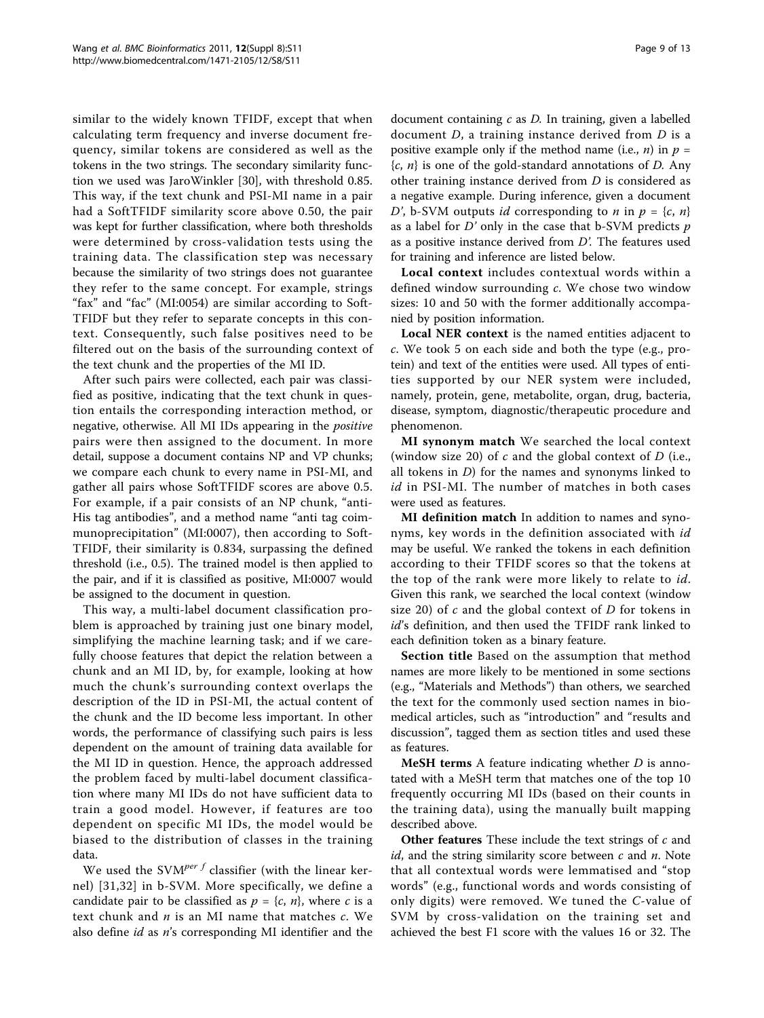similar to the widely known TFIDF, except that when calculating term frequency and inverse document frequency, similar tokens are considered as well as the tokens in the two strings. The secondary similarity function we used was JaroWinkler [[30\]](#page-12-0), with threshold 0.85. This way, if the text chunk and PSI-MI name in a pair had a SoftTFIDF similarity score above 0.50, the pair was kept for further classification, where both thresholds were determined by cross-validation tests using the training data. The classification step was necessary because the similarity of two strings does not guarantee they refer to the same concept. For example, strings "fax" and "fac" (MI:0054) are similar according to Soft-TFIDF but they refer to separate concepts in this context. Consequently, such false positives need to be filtered out on the basis of the surrounding context of the text chunk and the properties of the MI ID.

After such pairs were collected, each pair was classified as positive, indicating that the text chunk in question entails the corresponding interaction method, or negative, otherwise. All MI IDs appearing in the positive pairs were then assigned to the document. In more detail, suppose a document contains NP and VP chunks; we compare each chunk to every name in PSI-MI, and gather all pairs whose SoftTFIDF scores are above 0.5. For example, if a pair consists of an NP chunk, "anti-His tag antibodies", and a method name "anti tag coimmunoprecipitation" (MI:0007), then according to Soft-TFIDF, their similarity is 0.834, surpassing the defined threshold (i.e., 0.5). The trained model is then applied to the pair, and if it is classified as positive, MI:0007 would be assigned to the document in question.

This way, a multi-label document classification problem is approached by training just one binary model, simplifying the machine learning task; and if we carefully choose features that depict the relation between a chunk and an MI ID, by, for example, looking at how much the chunk's surrounding context overlaps the description of the ID in PSI-MI, the actual content of the chunk and the ID become less important. In other words, the performance of classifying such pairs is less dependent on the amount of training data available for the MI ID in question. Hence, the approach addressed the problem faced by multi-label document classification where many MI IDs do not have sufficient data to train a good model. However, if features are too dependent on specific MI IDs, the model would be biased to the distribution of classes in the training data.

We used the SVM<sup>per f</sup> classifier (with the linear kernel) [\[31,32\]](#page-12-0) in b-SVM. More specifically, we define a candidate pair to be classified as  $p = \{c, n\}$ , where c is a text chunk and  $n$  is an MI name that matches  $c$ . We also define  $id$  as  $n$ 's corresponding MI identifier and the

document containing  $c$  as  $D$ . In training, given a labelled document D, a training instance derived from D is a positive example only if the method name (i.e.,  $n$ ) in  $p =$  $\{c, n\}$  is one of the gold-standard annotations of D. Any other training instance derived from  $D$  is considered as a negative example. During inference, given a document D', b-SVM outputs *id* corresponding to *n* in  $p = \{c, n\}$ as a label for  $D'$  only in the case that b-SVM predicts  $p$ as a positive instance derived from  $D'$ . The features used for training and inference are listed below.

Local context includes contextual words within a defined window surrounding c. We chose two window sizes: 10 and 50 with the former additionally accompanied by position information.

Local NER context is the named entities adjacent to c. We took 5 on each side and both the type (e.g., protein) and text of the entities were used. All types of entities supported by our NER system were included, namely, protein, gene, metabolite, organ, drug, bacteria, disease, symptom, diagnostic/therapeutic procedure and phenomenon.

MI synonym match We searched the local context (window size 20) of c and the global context of  $D$  (i.e., all tokens in  $D$ ) for the names and synonyms linked to id in PSI-MI. The number of matches in both cases were used as features.

MI definition match In addition to names and synonyms, key words in the definition associated with id may be useful. We ranked the tokens in each definition according to their TFIDF scores so that the tokens at the top of the rank were more likely to relate to *id*. Given this rank, we searched the local context (window size 20) of  $c$  and the global context of  $D$  for tokens in id's definition, and then used the TFIDF rank linked to each definition token as a binary feature.

Section title Based on the assumption that method names are more likely to be mentioned in some sections (e.g., "Materials and Methods") than others, we searched the text for the commonly used section names in biomedical articles, such as "introduction" and "results and discussion", tagged them as section titles and used these as features.

**MeSH terms** A feature indicating whether  $D$  is annotated with a MeSH term that matches one of the top 10 frequently occurring MI IDs (based on their counts in the training data), using the manually built mapping described above.

Other features These include the text strings of c and *id*, and the string similarity score between  $c$  and  $n$ . Note that all contextual words were lemmatised and "stop words" (e.g., functional words and words consisting of only digits) were removed. We tuned the C-value of SVM by cross-validation on the training set and achieved the best F1 score with the values 16 or 32. The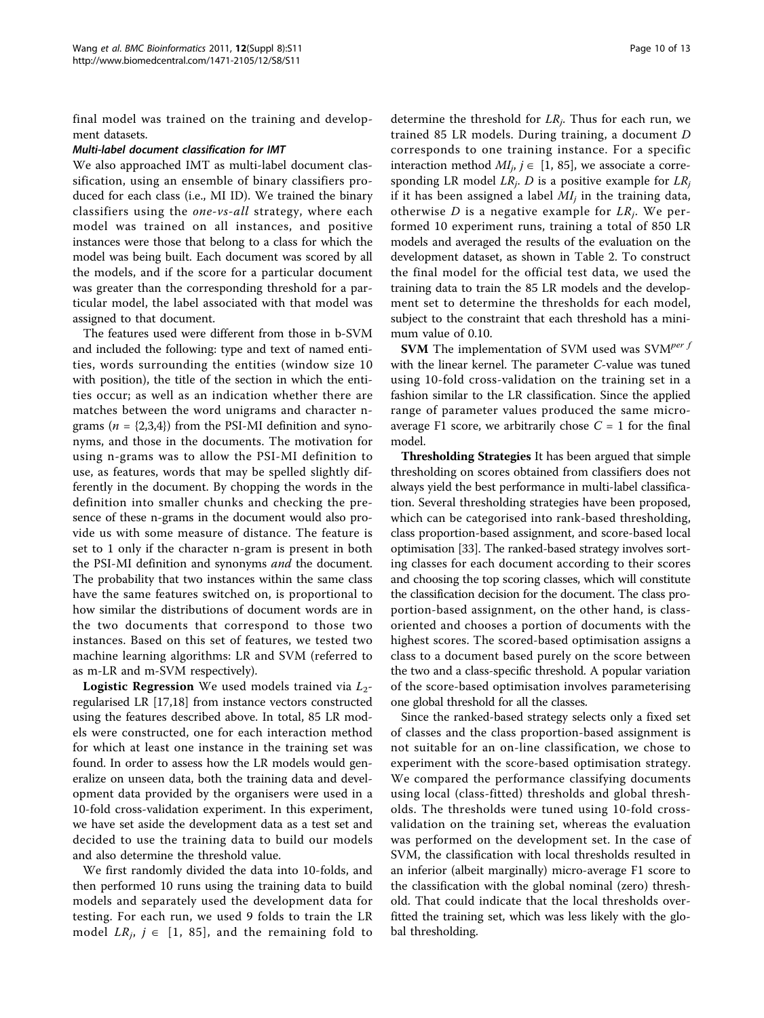final model was trained on the training and development datasets.

## Multi-label document classification for IMT

We also approached IMT as multi-label document classification, using an ensemble of binary classifiers produced for each class (i.e., MI ID). We trained the binary classifiers using the one-vs-all strategy, where each model was trained on all instances, and positive instances were those that belong to a class for which the model was being built. Each document was scored by all the models, and if the score for a particular document was greater than the corresponding threshold for a particular model, the label associated with that model was assigned to that document.

The features used were different from those in b-SVM and included the following: type and text of named entities, words surrounding the entities (window size 10 with position), the title of the section in which the entities occur; as well as an indication whether there are matches between the word unigrams and character ngrams ( $n = \{2,3,4\}$ ) from the PSI-MI definition and synonyms, and those in the documents. The motivation for using n-grams was to allow the PSI-MI definition to use, as features, words that may be spelled slightly differently in the document. By chopping the words in the definition into smaller chunks and checking the presence of these n-grams in the document would also provide us with some measure of distance. The feature is set to 1 only if the character n-gram is present in both the PSI-MI definition and synonyms and the document. The probability that two instances within the same class have the same features switched on, is proportional to how similar the distributions of document words are in the two documents that correspond to those two instances. Based on this set of features, we tested two machine learning algorithms: LR and SVM (referred to as m-LR and m-SVM respectively).

**Logistic Regression** We used models trained via  $L_2$ regularised LR [[17,18](#page-12-0)] from instance vectors constructed using the features described above. In total, 85 LR models were constructed, one for each interaction method for which at least one instance in the training set was found. In order to assess how the LR models would generalize on unseen data, both the training data and development data provided by the organisers were used in a 10-fold cross-validation experiment. In this experiment, we have set aside the development data as a test set and decided to use the training data to build our models and also determine the threshold value.

We first randomly divided the data into 10-folds, and then performed 10 runs using the training data to build models and separately used the development data for testing. For each run, we used 9 folds to train the LR model  $LR_j$ ,  $j \in [1, 85]$ , and the remaining fold to

determine the threshold for  $LR_i$ . Thus for each run, we trained 85 LR models. During training, a document D corresponds to one training instance. For a specific interaction method  $MI_i$ ,  $j \in [1, 85]$ , we associate a corresponding LR model  $LR_j$ . D is a positive example for  $LR_j$ if it has been assigned a label  $MI_i$  in the training data, otherwise D is a negative example for  $LR_i$ . We performed 10 experiment runs, training a total of 850 LR models and averaged the results of the evaluation on the development dataset, as shown in Table [2](#page-2-0). To construct the final model for the official test data, we used the training data to train the 85 LR models and the development set to determine the thresholds for each model, subject to the constraint that each threshold has a minimum value of 0.10.

**SVM** The implementation of SVM used was SVM<sup>per f</sup> with the linear kernel. The parameter C-value was tuned using 10-fold cross-validation on the training set in a fashion similar to the LR classification. Since the applied range of parameter values produced the same microaverage F1 score, we arbitrarily chose  $C = 1$  for the final model.

Thresholding Strategies It has been argued that simple thresholding on scores obtained from classifiers does not always yield the best performance in multi-label classification. Several thresholding strategies have been proposed, which can be categorised into rank-based thresholding, class proportion-based assignment, and score-based local optimisation [\[33\]](#page-12-0). The ranked-based strategy involves sorting classes for each document according to their scores and choosing the top scoring classes, which will constitute the classification decision for the document. The class proportion-based assignment, on the other hand, is classoriented and chooses a portion of documents with the highest scores. The scored-based optimisation assigns a class to a document based purely on the score between the two and a class-specific threshold. A popular variation of the score-based optimisation involves parameterising one global threshold for all the classes.

Since the ranked-based strategy selects only a fixed set of classes and the class proportion-based assignment is not suitable for an on-line classification, we chose to experiment with the score-based optimisation strategy. We compared the performance classifying documents using local (class-fitted) thresholds and global thresholds. The thresholds were tuned using 10-fold crossvalidation on the training set, whereas the evaluation was performed on the development set. In the case of SVM, the classification with local thresholds resulted in an inferior (albeit marginally) micro-average F1 score to the classification with the global nominal (zero) threshold. That could indicate that the local thresholds overfitted the training set, which was less likely with the global thresholding.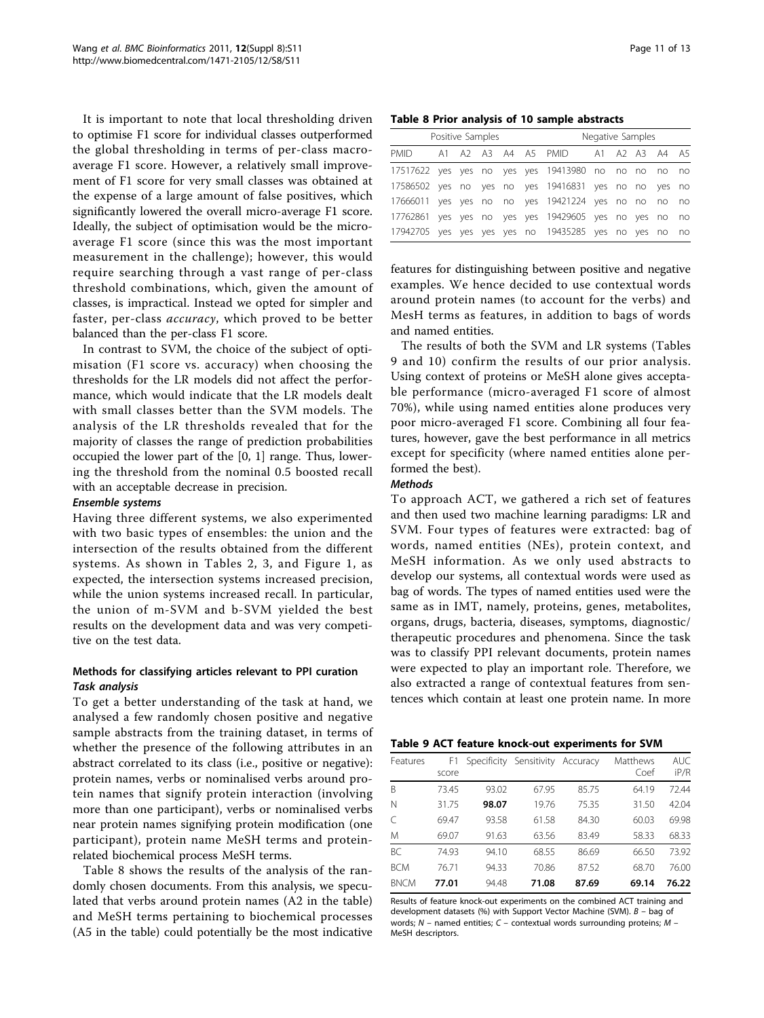<span id="page-10-0"></span>It is important to note that local thresholding driven to optimise F1 score for individual classes outperformed the global thresholding in terms of per-class macroaverage F1 score. However, a relatively small improvement of F1 score for very small classes was obtained at the expense of a large amount of false positives, which significantly lowered the overall micro-average F1 score. Ideally, the subject of optimisation would be the microaverage F1 score (since this was the most important measurement in the challenge); however, this would require searching through a vast range of per-class threshold combinations, which, given the amount of classes, is impractical. Instead we opted for simpler and faster, per-class accuracy, which proved to be better balanced than the per-class F1 score.

In contrast to SVM, the choice of the subject of optimisation (F1 score vs. accuracy) when choosing the thresholds for the LR models did not affect the performance, which would indicate that the LR models dealt with small classes better than the SVM models. The analysis of the LR thresholds revealed that for the majority of classes the range of prediction probabilities occupied the lower part of the [0, 1] range. Thus, lowering the threshold from the nominal 0.5 boosted recall with an acceptable decrease in precision.

### Ensemble systems

Having three different systems, we also experimented with two basic types of ensembles: the union and the intersection of the results obtained from the different systems. As shown in Tables [2](#page-2-0), [3](#page-2-0), and Figure [1](#page-3-0), as expected, the intersection systems increased precision, while the union systems increased recall. In particular, the union of m-SVM and b-SVM yielded the best results on the development data and was very competitive on the test data.

## Methods for classifying articles relevant to PPI curation Task analysis

To get a better understanding of the task at hand, we analysed a few randomly chosen positive and negative sample abstracts from the training dataset, in terms of whether the presence of the following attributes in an abstract correlated to its class (i.e., positive or negative): protein names, verbs or nominalised verbs around protein names that signify protein interaction (involving more than one participant), verbs or nominalised verbs near protein names signifying protein modification (one participant), protein name MeSH terms and proteinrelated biochemical process MeSH terms.

Table 8 shows the results of the analysis of the randomly chosen documents. From this analysis, we speculated that verbs around protein names (A2 in the table) and MeSH terms pertaining to biochemical processes (A5 in the table) could potentially be the most indicative

|  |  |  |  |  |  |  | Table 8 Prior analysis of 10 sample abstracts |
|--|--|--|--|--|--|--|-----------------------------------------------|
|--|--|--|--|--|--|--|-----------------------------------------------|

| Positive Samples |  |  |  |  |  | Negative Samples                                      |  |  |  |  |  |
|------------------|--|--|--|--|--|-------------------------------------------------------|--|--|--|--|--|
| <b>PMID</b>      |  |  |  |  |  | A1 A2 A3 A4 A5 PMID A1 A2 A3 A4 A5                    |  |  |  |  |  |
|                  |  |  |  |  |  | 17517622 yes yes no yes yes 19413980 no no no no no   |  |  |  |  |  |
|                  |  |  |  |  |  | 17586502 yes no yes no yes 19416831 yes no no yes no  |  |  |  |  |  |
|                  |  |  |  |  |  | 17666011 yes yes no no yes 19421224 yes no no no no   |  |  |  |  |  |
|                  |  |  |  |  |  | 17762861 yes yes no yes yes 19429605 yes no yes no no |  |  |  |  |  |
|                  |  |  |  |  |  | 17942705 yes yes yes yes no 19435285 yes no yes no no |  |  |  |  |  |

features for distinguishing between positive and negative examples. We hence decided to use contextual words around protein names (to account for the verbs) and MesH terms as features, in addition to bags of words and named entities.

The results of both the SVM and LR systems (Tables 9 and [10\)](#page-11-0) confirm the results of our prior analysis. Using context of proteins or MeSH alone gives acceptable performance (micro-averaged F1 score of almost 70%), while using named entities alone produces very poor micro-averaged F1 score. Combining all four features, however, gave the best performance in all metrics except for specificity (where named entities alone performed the best).

### Methods

To approach ACT, we gathered a rich set of features and then used two machine learning paradigms: LR and SVM. Four types of features were extracted: bag of words, named entities (NEs), protein context, and MeSH information. As we only used abstracts to develop our systems, all contextual words were used as bag of words. The types of named entities used were the same as in IMT, namely, proteins, genes, metabolites, organs, drugs, bacteria, diseases, symptoms, diagnostic/ therapeutic procedures and phenomena. Since the task was to classify PPI relevant documents, protein names were expected to play an important role. Therefore, we also extracted a range of contextual features from sentences which contain at least one protein name. In more

|  |  |  | Table 9 ACT feature knock-out experiments for SVM |  |  |
|--|--|--|---------------------------------------------------|--|--|
|--|--|--|---------------------------------------------------|--|--|

| Features    | F1<br>score | Specificity | Sensitivity | Accuracy | Matthews<br>Coef | <b>AUC</b><br>iP/R |
|-------------|-------------|-------------|-------------|----------|------------------|--------------------|
| B           | 73.45       | 93.02       | 67.95       | 85.75    | 64.19            | 72.44              |
| N           | 31.75       | 98.07       | 19.76       | 75.35    | 31.50            | 42.04              |
| C           | 69.47       | 93.58       | 61.58       | 84.30    | 60.03            | 69.98              |
| M           | 69.07       | 91.63       | 63.56       | 83.49    | 58.33            | 68.33              |
| BC.         | 74.93       | 94.10       | 68.55       | 86.69    | 66.50            | 73.92              |
| <b>BCM</b>  | 76.71       | 94.33       | 70.86       | 87.52    | 68.70            | 76.00              |
| <b>BNCM</b> | 77.01       | 94.48       | 71.08       | 87.69    | 69.14            | 76.22              |

Results of feature knock-out experiments on the combined ACT training and development datasets (%) with Support Vector Machine (SVM). B – bag of words;  $N$  – named entities;  $C$  – contextual words surrounding proteins;  $M$  -MeSH descriptors.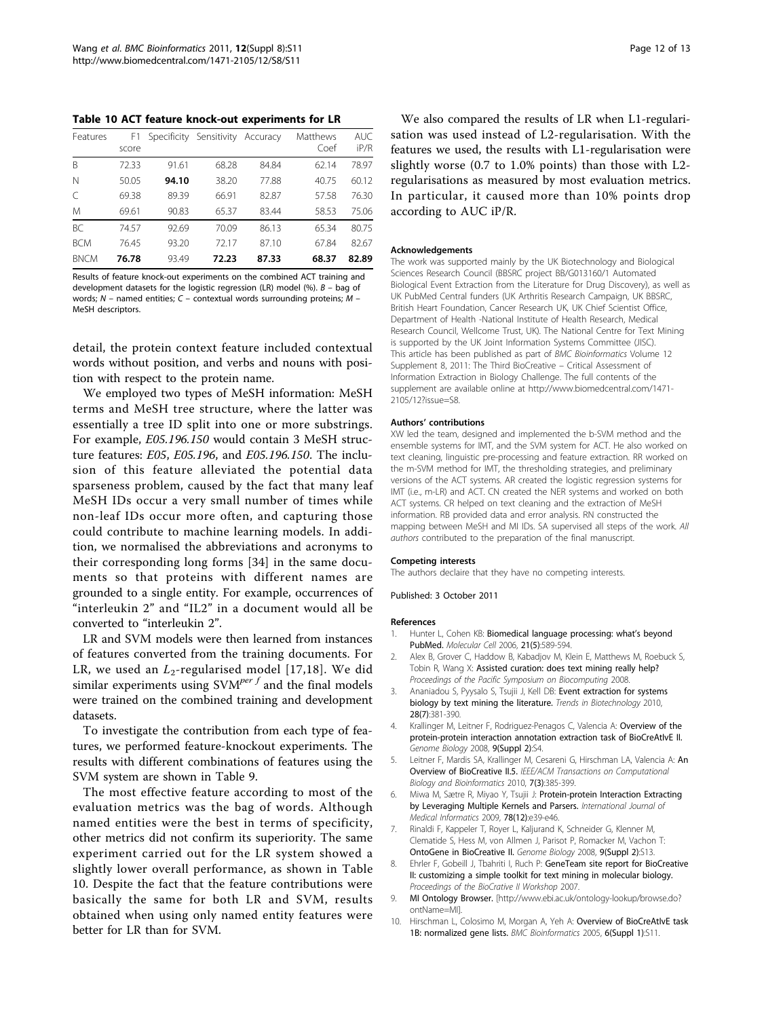<span id="page-11-0"></span>Table 10 ACT feature knock-out experiments for LR

| Features    | F1.<br>score |       | Specificity Sensitivity | Accuracy | Matthews<br>Coef | AUC<br>iP/R |
|-------------|--------------|-------|-------------------------|----------|------------------|-------------|
| B           | 72.33        | 91.61 | 68.28                   | 84.84    | 62.14            | 78.97       |
| N           | 50.05        | 94.10 | 38.20                   | 77.88    | 40.75            | 60.12       |
| C           | 69.38        | 89.39 | 66.91                   | 82.87    | 57.58            | 76.30       |
| M           | 69.61        | 90.83 | 65.37                   | 83.44    | 58.53            | 75.06       |
| BC.         | 74.57        | 92.69 | 70.09                   | 86.13    | 65.34            | 80.75       |
| <b>BCM</b>  | 76.45        | 93.20 | 72.17                   | 87.10    | 67.84            | 82.67       |
| <b>BNCM</b> | 76.78        | 93.49 | 72.23                   | 87.33    | 68.37            | 82.89       |

Results of feature knock-out experiments on the combined ACT training and development datasets for the logistic regression (LR) model (%).  $B -$  bag of words; N – named entities; C – contextual words surrounding proteins; M – MeSH descriptors.

detail, the protein context feature included contextual words without position, and verbs and nouns with position with respect to the protein name.

We employed two types of MeSH information: MeSH terms and MeSH tree structure, where the latter was essentially a tree ID split into one or more substrings. For example, E05.196.150 would contain 3 MeSH structure features: E05, E05.196, and E05.196.150. The inclusion of this feature alleviated the potential data sparseness problem, caused by the fact that many leaf MeSH IDs occur a very small number of times while non-leaf IDs occur more often, and capturing those could contribute to machine learning models. In addition, we normalised the abbreviations and acronyms to their corresponding long forms [\[34\]](#page-12-0) in the same documents so that proteins with different names are grounded to a single entity. For example, occurrences of "interleukin 2" and "IL2" in a document would all be converted to "interleukin 2".

LR and SVM models were then learned from instances of features converted from the training documents. For LR, we used an  $L_2$ -regularised model [[17](#page-12-0),[18](#page-12-0)]. We did similar experiments using  $SVM^{perf}$  and the final models were trained on the combined training and development datasets.

To investigate the contribution from each type of features, we performed feature-knockout experiments. The results with different combinations of features using the SVM system are shown in Table [9.](#page-10-0)

The most effective feature according to most of the evaluation metrics was the bag of words. Although named entities were the best in terms of specificity, other metrics did not confirm its superiority. The same experiment carried out for the LR system showed a slightly lower overall performance, as shown in Table 10. Despite the fact that the feature contributions were basically the same for both LR and SVM, results obtained when using only named entity features were better for LR than for SVM.

We also compared the results of LR when L1-regularisation was used instead of L2-regularisation. With the features we used, the results with L1-regularisation were slightly worse (0.7 to 1.0% points) than those with L2 regularisations as measured by most evaluation metrics. In particular, it caused more than 10% points drop according to AUC iP/R.

#### Acknowledgements

The work was supported mainly by the UK Biotechnology and Biological Sciences Research Council (BBSRC project BB/G013160/1 Automated Biological Event Extraction from the Literature for Drug Discovery), as well as UK PubMed Central funders (UK Arthritis Research Campaign, UK BBSRC, British Heart Foundation, Cancer Research UK, UK Chief Scientist Office, Department of Health -National Institute of Health Research, Medical Research Council, Wellcome Trust, UK). The National Centre for Text Mining is supported by the UK Joint Information Systems Committee (JISC). This article has been published as part of BMC Bioinformatics Volume 12 Supplement 8, 2011: The Third BioCreative – Critical Assessment of Information Extraction in Biology Challenge. The full contents of the supplement are available online at [http://www.biomedcentral.com/1471-](http://www.biomedcentral.com/1471-2105/12?issue=S8) [2105/12?issue=S8.](http://www.biomedcentral.com/1471-2105/12?issue=S8)

#### Authors' contributions

XW led the team, designed and implemented the b-SVM method and the ensemble systems for IMT, and the SVM system for ACT. He also worked on text cleaning, linguistic pre-processing and feature extraction. RR worked on the m-SVM method for IMT, the thresholding strategies, and preliminary versions of the ACT systems. AR created the logistic regression systems for IMT (i.e., m-LR) and ACT. CN created the NER systems and worked on both ACT systems. CR helped on text cleaning and the extraction of MeSH information. RB provided data and error analysis. RN constructed the mapping between MeSH and MI IDs. SA supervised all steps of the work. All authors contributed to the preparation of the final manuscript.

#### Competing interests

The authors declaire that they have no competing interests.

#### Published: 3 October 2011

#### References

- 1. Hunter L, Cohen KB: [Biomedical language processing: what](http://www.ncbi.nlm.nih.gov/pubmed/16507357?dopt=Abstract)'s beyond [PubMed.](http://www.ncbi.nlm.nih.gov/pubmed/16507357?dopt=Abstract) Molecular Cell 2006, 21(5):589-594.
- 2. Alex B, Grover C, Haddow B, Kabadjov M, Klein E, Matthews M, Roebuck S, Tobin R, Wang X: Assisted curation: does text mining really help? Proceedings of the Pacific Symposium on Biocomputing 2008.
- 3. Ananiadou S, Pyysalo S, Tsujii J, Kell DB: [Event extraction for systems](http://www.ncbi.nlm.nih.gov/pubmed/20570001?dopt=Abstract) [biology by text mining the literature.](http://www.ncbi.nlm.nih.gov/pubmed/20570001?dopt=Abstract) Trends in Biotechnology 2010, 28(7):381-390.
- Krallinger M, Leitner F, Rodriguez-Penagos C, Valencia A: [Overview of the](http://www.ncbi.nlm.nih.gov/pubmed/18834495?dopt=Abstract) [protein-protein interaction annotation extraction task of BioCreAtIvE II.](http://www.ncbi.nlm.nih.gov/pubmed/18834495?dopt=Abstract) Genome Biology 2008, 9(Suppl 2):S4.
- 5. Leitner F, Mardis SA, Krallinger M, Cesareni G, Hirschman LA, Valencia A: [An](http://www.ncbi.nlm.nih.gov/pubmed/20704011?dopt=Abstract) [Overview of BioCreative II.5.](http://www.ncbi.nlm.nih.gov/pubmed/20704011?dopt=Abstract) IEEE/ACM Transactions on Computational Biology and Bioinformatics 2010, 7(3):385-399.
- 6. Miwa M, Sætre R, Miyao Y, Tsujii J: [Protein-protein Interaction Extracting](http://www.ncbi.nlm.nih.gov/pubmed/19501018?dopt=Abstract) [by Leveraging Multiple Kernels and Parsers.](http://www.ncbi.nlm.nih.gov/pubmed/19501018?dopt=Abstract) International Journal of Medical Informatics 2009, 78(12):e39-e46.
- 7. Rinaldi F, Kappeler T, Royer L, Kaljurand K, Schneider G, Klenner M, Clematide S, Hess M, von Allmen J, Parisot P, Romacker M, Vachon T: [OntoGene in BioCreative II.](http://www.ncbi.nlm.nih.gov/pubmed/18834491?dopt=Abstract) Genome Biology 2008, 9(Suppl 2):S13.
- 8. Ehrler F, Gobeill J, Tbahriti I, Ruch P: GeneTeam site report for BioCreative II: customizing a simple toolkit for text mining in molecular biology. Proceedings of the BioCrative II Workshop 2007.
- 9. MI Ontology Browser. [[http://www.ebi.ac.uk/ontology-lookup/browse.do?](http://www.ebi.ac.uk/ontology-lookup/browse.do?ontName=MI) [ontName=MI](http://www.ebi.ac.uk/ontology-lookup/browse.do?ontName=MI)].
- 10. Hirschman L, Colosimo M, Morgan A, Yeh A: Overview of BioCreAtlvE task [1B: normalized gene lists.](http://www.ncbi.nlm.nih.gov/pubmed/16351737?dopt=Abstract) BMC Bioinformatics 2005, 6(Suppl 1):S11.